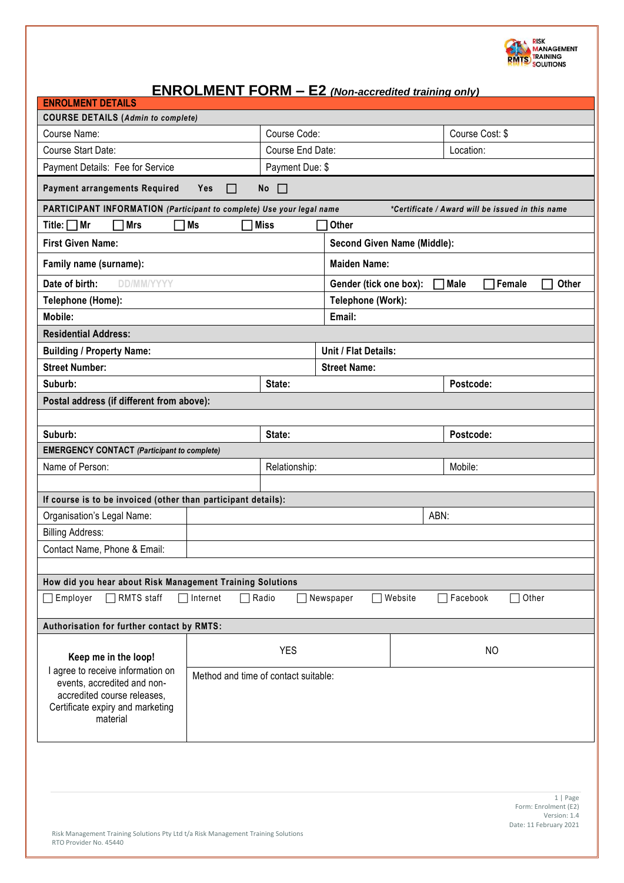

# **ENROLMENT FORM – E2** *(Non-accredited training only)*

| . , accreamed a anning only<br><b>ENROLMENT DETAILS</b>                                                                                                                                 |                                    |                                                          |                |                   |       |  |  |
|-----------------------------------------------------------------------------------------------------------------------------------------------------------------------------------------|------------------------------------|----------------------------------------------------------|----------------|-------------------|-------|--|--|
| <b>COURSE DETAILS (Admin to complete)</b>                                                                                                                                               |                                    |                                                          |                |                   |       |  |  |
| Course Name:                                                                                                                                                                            | Course Code:                       |                                                          |                | Course Cost: \$   |       |  |  |
| Course Start Date:                                                                                                                                                                      | Course End Date:                   |                                                          |                | Location:         |       |  |  |
| Payment Details: Fee for Service                                                                                                                                                        | Payment Due: \$                    |                                                          |                |                   |       |  |  |
| <b>Payment arrangements Required</b><br>$\Box$<br>Yes<br>П<br>No                                                                                                                        |                                    |                                                          |                |                   |       |  |  |
| PARTICIPANT INFORMATION (Participant to complete) Use your legal name<br>*Certificate / Award will be issued in this name                                                               |                                    |                                                          |                |                   |       |  |  |
| 7 Ms<br>Title: $\Box$ Mr<br><b>Mrs</b><br><b>Miss</b><br>Other                                                                                                                          |                                    |                                                          |                |                   |       |  |  |
| <b>First Given Name:</b>                                                                                                                                                                | <b>Second Given Name (Middle):</b> |                                                          |                |                   |       |  |  |
| Family name (surname):                                                                                                                                                                  | <b>Maiden Name:</b>                |                                                          |                |                   |       |  |  |
| Date of birth:<br><b>DD/MM/YYYY</b>                                                                                                                                                     |                                    | Gender (tick one box):<br><b>Male</b><br>Female<br>Other |                |                   |       |  |  |
| Telephone (Home):                                                                                                                                                                       | Telephone (Work):                  |                                                          |                |                   |       |  |  |
| Mobile:<br>Email:                                                                                                                                                                       |                                    |                                                          |                |                   |       |  |  |
| <b>Residential Address:</b>                                                                                                                                                             |                                    |                                                          |                |                   |       |  |  |
| <b>Building / Property Name:</b>                                                                                                                                                        | Unit / Flat Details:               |                                                          |                |                   |       |  |  |
| <b>Street Number:</b>                                                                                                                                                                   |                                    | <b>Street Name:</b>                                      |                |                   |       |  |  |
| Suburb:                                                                                                                                                                                 | State:                             |                                                          |                | Postcode:         |       |  |  |
| Postal address (if different from above):                                                                                                                                               |                                    |                                                          |                |                   |       |  |  |
|                                                                                                                                                                                         |                                    |                                                          |                |                   |       |  |  |
| Suburb:                                                                                                                                                                                 | State:                             | Postcode:                                                |                |                   |       |  |  |
| <b>EMERGENCY CONTACT</b> (Participant to complete)                                                                                                                                      |                                    |                                                          |                |                   |       |  |  |
| Name of Person:                                                                                                                                                                         | Relationship:                      |                                                          |                | Mobile:           |       |  |  |
|                                                                                                                                                                                         |                                    |                                                          |                |                   |       |  |  |
| If course is to be invoiced (other than participant details):                                                                                                                           |                                    |                                                          |                |                   |       |  |  |
| Organisation's Legal Name:                                                                                                                                                              | ABN:                               |                                                          |                |                   |       |  |  |
| <b>Billing Address:</b>                                                                                                                                                                 |                                    |                                                          |                |                   |       |  |  |
| Contact Name, Phone & Email:                                                                                                                                                            |                                    |                                                          |                |                   |       |  |  |
|                                                                                                                                                                                         |                                    |                                                          |                |                   |       |  |  |
| How did you hear about Risk Management Training Solutions                                                                                                                               |                                    |                                                          |                |                   |       |  |  |
| RMTS staff<br>Employer<br>Internet                                                                                                                                                      | Radio                              | Website<br>Newspaper                                     |                | $\sqcap$ Facebook | Other |  |  |
| Authorisation for further contact by RMTS:                                                                                                                                              |                                    |                                                          |                |                   |       |  |  |
| Keep me in the loop!                                                                                                                                                                    | <b>YES</b>                         |                                                          | N <sub>O</sub> |                   |       |  |  |
| I agree to receive information on<br>Method and time of contact suitable:<br>events, accredited and non-<br>accredited course releases,<br>Certificate expiry and marketing<br>material |                                    |                                                          |                |                   |       |  |  |
|                                                                                                                                                                                         |                                    |                                                          |                |                   |       |  |  |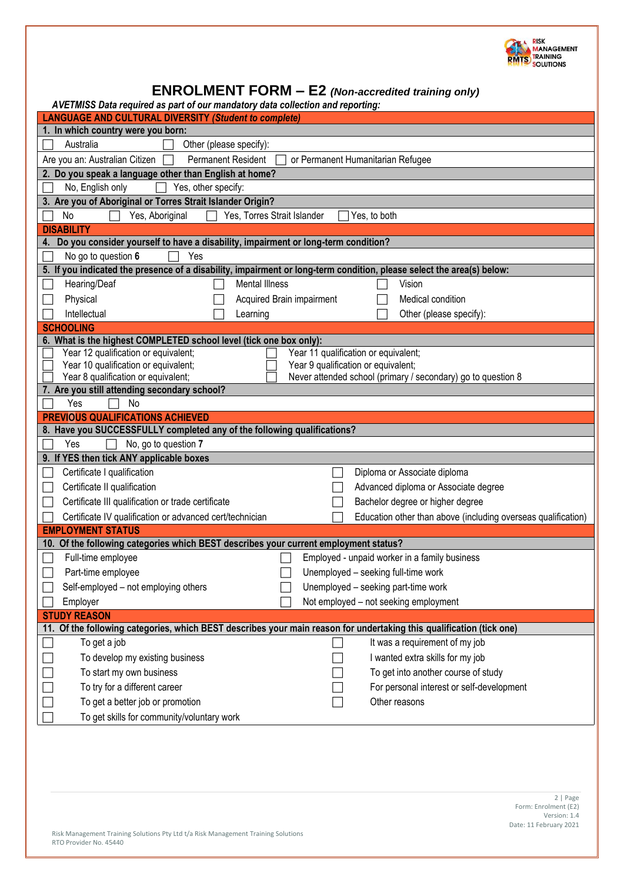

| <b>ENROLMENT FORM - E2</b> (Non-accredited training only)                                                                                      |                                                                                                                       |  |  |  |  |  |
|------------------------------------------------------------------------------------------------------------------------------------------------|-----------------------------------------------------------------------------------------------------------------------|--|--|--|--|--|
| AVETMISS Data required as part of our mandatory data collection and reporting:<br><b>LANGUAGE AND CULTURAL DIVERSITY (Student to complete)</b> |                                                                                                                       |  |  |  |  |  |
| 1. In which country were you born:                                                                                                             |                                                                                                                       |  |  |  |  |  |
| Australia                                                                                                                                      | Other (please specify):                                                                                               |  |  |  |  |  |
| Are you an: Australian Citizen                                                                                                                 | Permanent Resident<br>or Permanent Humanitarian Refugee                                                               |  |  |  |  |  |
| 2. Do you speak a language other than English at home?                                                                                         |                                                                                                                       |  |  |  |  |  |
| Yes, other specify:<br>No, English only                                                                                                        |                                                                                                                       |  |  |  |  |  |
| 3. Are you of Aboriginal or Torres Strait Islander Origin?                                                                                     |                                                                                                                       |  |  |  |  |  |
| Yes, Aboriginal<br>No                                                                                                                          | Yes, Torres Strait Islander<br>Yes, to both                                                                           |  |  |  |  |  |
| <b>DISABILITY</b>                                                                                                                              |                                                                                                                       |  |  |  |  |  |
| 4.                                                                                                                                             | Do you consider yourself to have a disability, impairment or long-term condition?                                     |  |  |  |  |  |
| No go to question 6<br>Yes                                                                                                                     |                                                                                                                       |  |  |  |  |  |
|                                                                                                                                                | 5. If you indicated the presence of a disability, impairment or long-term condition, please select the area(s) below: |  |  |  |  |  |
| Hearing/Deaf                                                                                                                                   | <b>Mental Illness</b><br>Vision                                                                                       |  |  |  |  |  |
| Physical                                                                                                                                       | Acquired Brain impairment<br>Medical condition                                                                        |  |  |  |  |  |
| Intellectual                                                                                                                                   | Other (please specify):<br>Learning                                                                                   |  |  |  |  |  |
| <b>SCHOOLING</b>                                                                                                                               |                                                                                                                       |  |  |  |  |  |
| 6. What is the highest COMPLETED school level (tick one box only):                                                                             |                                                                                                                       |  |  |  |  |  |
| Year 12 qualification or equivalent;                                                                                                           | Year 11 qualification or equivalent;                                                                                  |  |  |  |  |  |
|                                                                                                                                                | Year 10 qualification or equivalent;<br>Year 9 qualification or equivalent;                                           |  |  |  |  |  |
| Year 8 qualification or equivalent;<br>7. Are you still attending secondary school?                                                            | Never attended school (primary / secondary) go to question 8                                                          |  |  |  |  |  |
| No<br>Yes                                                                                                                                      |                                                                                                                       |  |  |  |  |  |
| <b>PREVIOUS QUALIFICATIONS ACHIEVED</b>                                                                                                        |                                                                                                                       |  |  |  |  |  |
| 8. Have you SUCCESSFULLY completed any of the following qualifications?                                                                        |                                                                                                                       |  |  |  |  |  |
| No, go to question 7<br>Yes                                                                                                                    |                                                                                                                       |  |  |  |  |  |
| 9. If YES then tick ANY applicable boxes                                                                                                       |                                                                                                                       |  |  |  |  |  |
| Certificate I qualification                                                                                                                    | Diploma or Associate diploma                                                                                          |  |  |  |  |  |
| Certificate II qualification                                                                                                                   | Advanced diploma or Associate degree                                                                                  |  |  |  |  |  |
| Certificate III qualification or trade certificate                                                                                             | Bachelor degree or higher degree                                                                                      |  |  |  |  |  |
| Certificate IV qualification or advanced cert/technician                                                                                       | Education other than above (including overseas qualification)                                                         |  |  |  |  |  |
| <b>EMPLOYMENT STATUS</b>                                                                                                                       |                                                                                                                       |  |  |  |  |  |
|                                                                                                                                                | 10. Of the following categories which BEST describes your current employment status?                                  |  |  |  |  |  |
| Full-time employee                                                                                                                             | Employed - unpaid worker in a family business                                                                         |  |  |  |  |  |
| Part-time employee                                                                                                                             | Unemployed - seeking full-time work                                                                                   |  |  |  |  |  |
| Self-employed - not employing others                                                                                                           | Unemployed - seeking part-time work                                                                                   |  |  |  |  |  |
| Employer                                                                                                                                       | Not employed - not seeking employment                                                                                 |  |  |  |  |  |
| <b>STUDY REASON</b>                                                                                                                            |                                                                                                                       |  |  |  |  |  |
|                                                                                                                                                | 11. Of the following categories, which BEST describes your main reason for undertaking this qualification (tick one)  |  |  |  |  |  |
| To get a job                                                                                                                                   | It was a requirement of my job                                                                                        |  |  |  |  |  |
| To develop my existing business                                                                                                                | I wanted extra skills for my job                                                                                      |  |  |  |  |  |
| To start my own business                                                                                                                       | To get into another course of study                                                                                   |  |  |  |  |  |
| To try for a different career                                                                                                                  | For personal interest or self-development                                                                             |  |  |  |  |  |
| To get a better job or promotion                                                                                                               | Other reasons                                                                                                         |  |  |  |  |  |
| To get skills for community/voluntary work                                                                                                     |                                                                                                                       |  |  |  |  |  |
|                                                                                                                                                |                                                                                                                       |  |  |  |  |  |